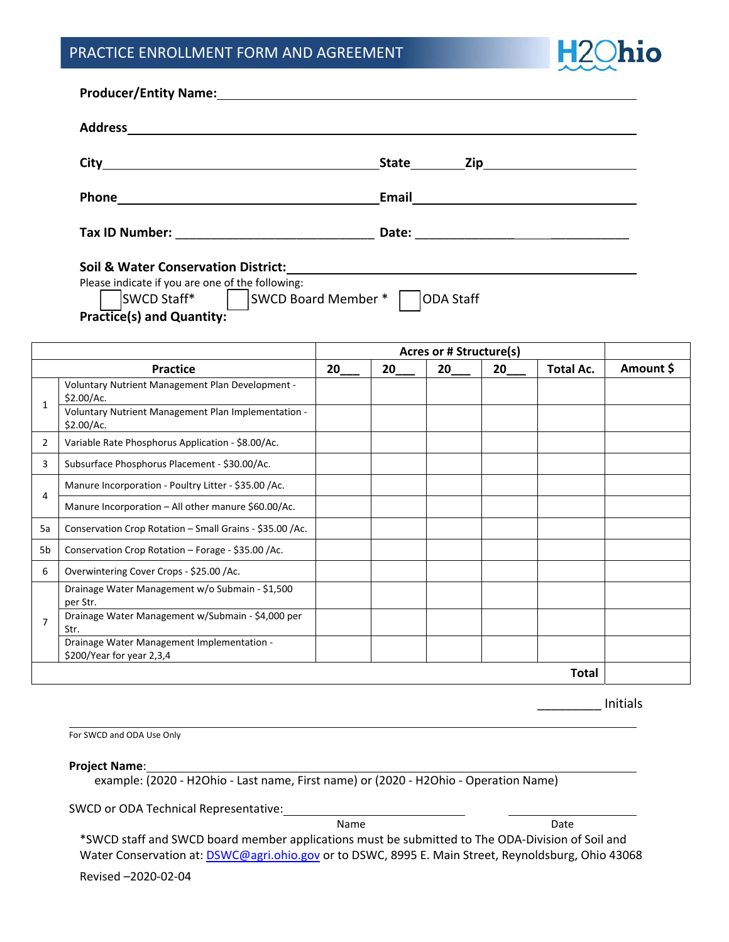## PRACTICE ENROLLMENT FORM AND AGREEMENT



|                     | <b>Address</b><br><u> 1989 - Johann Barnett, fransk politik (d. 1989)</u>                                                                                             |                                |       |                  |    |           |           |
|---------------------|-----------------------------------------------------------------------------------------------------------------------------------------------------------------------|--------------------------------|-------|------------------|----|-----------|-----------|
|                     | City                                                                                                                                                                  |                                |       | State Zip        |    |           |           |
|                     | Phone                                                                                                                                                                 |                                | Email |                  |    |           |           |
|                     |                                                                                                                                                                       |                                |       |                  |    |           |           |
|                     | <b>Soil &amp; Water Conservation District:</b><br>Please indicate if you are one of the following:<br>SWCD Staff*<br>SWCD Board Member *<br>Practice(s) and Quantity: |                                |       | <b>ODA Staff</b> |    |           |           |
|                     |                                                                                                                                                                       | <b>Acres or # Structure(s)</b> |       |                  |    |           |           |
|                     | <b>Practice</b>                                                                                                                                                       | 20                             | 20    | 20               | 20 | Total Ac. | Amount \$ |
| 1                   | Voluntary Nutrient Management Plan Development -<br>\$2.00/Ac.<br>Voluntary Nutrient Management Plan Implementation -<br>\$2.00/Ac.                                   |                                |       |                  |    |           |           |
| $\overline{2}$      | Variable Rate Phosphorus Application - \$8.00/Ac.                                                                                                                     |                                |       |                  |    |           |           |
| 3                   | Subsurface Phosphorus Placement - \$30.00/Ac.                                                                                                                         |                                |       |                  |    |           |           |
| 4                   | Manure Incorporation - Poultry Litter - \$35.00 /Ac.                                                                                                                  |                                |       |                  |    |           |           |
|                     | Manure Incorporation - All other manure \$60.00/Ac.                                                                                                                   |                                |       |                  |    |           |           |
| 5a                  | Conservation Crop Rotation - Small Grains - \$35.00 /Ac.                                                                                                              |                                |       |                  |    |           |           |
| 5b                  | Conservation Crop Rotation - Forage - \$35.00 /Ac.                                                                                                                    |                                |       |                  |    |           |           |
|                     | Overwintering Cover Crops - \$25.00 /Ac.                                                                                                                              |                                |       |                  |    |           |           |
|                     |                                                                                                                                                                       |                                |       |                  |    |           |           |
| 6<br>$\overline{7}$ | Drainage Water Management w/o Submain - \$1,500<br>per Str.<br>Drainage Water Management w/Submain - \$4,000 per<br>Str.                                              |                                |       |                  |    |           |           |

\_\_\_\_\_\_\_\_\_ Initials

For SWCD and ODA Use Only

**Project Name**:

example: (2020 ‐ H2Ohio ‐ Last name, First name) or (2020 ‐ H2Ohio ‐ Operation Name)

SWCD or ODA Technical Representative:

Name Date

\*SWCD staff and SWCD board member applications must be submitted to The ODA‐Division of Soil and Water Conservation at: **DSWC@agri.ohio.gov** or to DSWC, 8995 E. Main Street, Reynoldsburg, Ohio 43068

Revised –2020‐02‐04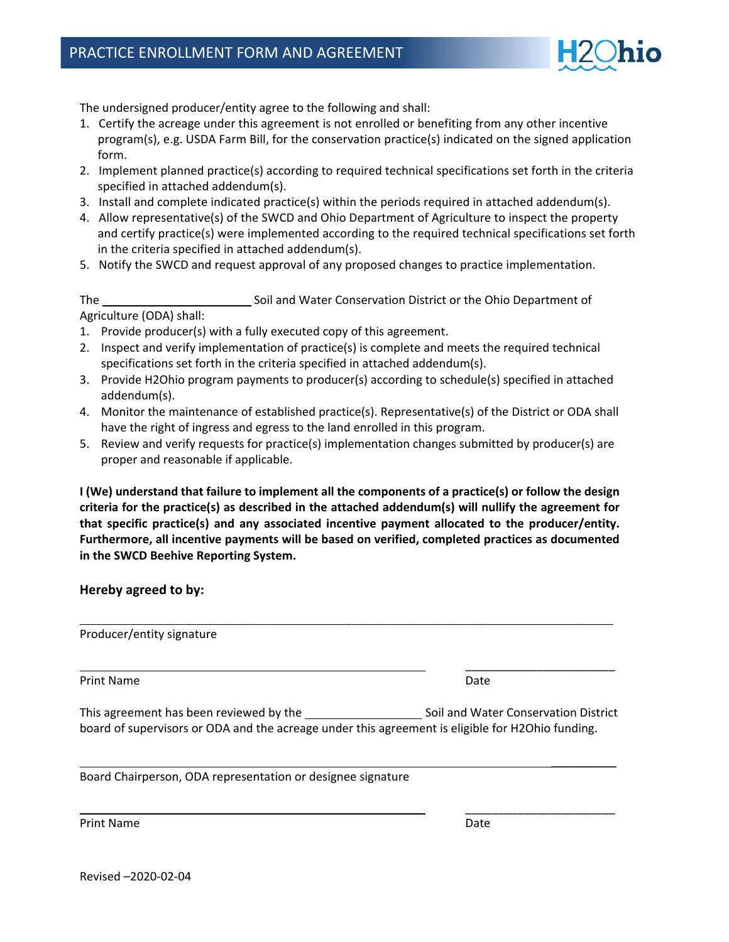

The undersigned producer/entity agree to the following and shall:

- 1. Certify the acreage under this agreement is not enrolled or benefiting from any other incentive program(s), e.g. USDA Farm Bill, for the conservation practice(s) indicated on the signed application form.
- 2. Implement planned practice(s) according to required technical specifications set forth in the criteria specified in attached addendum(s).
- 3. Install and complete indicated practice(s) within the periods required in attached addendum(s).
- 4. Allow representative(s) of the SWCD and Ohio Department of Agriculture to inspect the property and certify practice(s) were implemented according to the required technical specifications set forth in the criteria specified in attached addendum(s).
- 5. Notify the SWCD and request approval of any proposed changes to practice implementation.

The Soil and Water Conservation District or the Ohio Department of Agriculture (ODA) shall:

- 1. Provide producer(s) with a fully executed copy of this agreement.
- 2. Inspect and verify implementation of practice(s) is complete and meets the required technical specifications set forth in the criteria specified in attached addendum(s).
- 3. Provide H2Ohio program payments to producer(s) according to schedule(s) specified in attached addendum(s).
- 4. Monitor the maintenance of established practice(s). Representative(s) of the District or ODA shall have the right of ingress and egress to the land enrolled in this program.
- 5. Review and verify requests for practice(s) implementation changes submitted by producer(s) are proper and reasonable if applicable.

**I (We) understand that failure to implement all the components of a practice(s) or follow the design criteria for the practice(s) as described in the attached addendum(s) will nullify the agreement for that specific practice(s) and any associated incentive payment allocated to the producer/entity. Furthermore, all incentive payments will be based on verified, completed practices as documented in the SWCD Beehive Reporting System.**

**Hereby agreed to by:** 

Producer/entity signature

Print Name **Date Date Date Date Date Date Date Date Date Date Date** 

\_\_\_\_\_\_\_\_\_\_\_\_\_\_\_\_\_\_\_\_\_\_\_

\_\_\_\_\_\_\_\_\_\_\_\_\_\_\_\_\_\_\_\_\_\_\_

\_\_\_\_\_\_\_\_\_\_

This agreement has been reviewed by the Soil and Water Conservation District board of supervisors or ODA and the acreage under this agreement is eligible for H2Ohio funding.

\_\_\_\_\_\_\_\_\_\_\_\_\_\_\_\_\_\_\_\_\_\_\_\_\_\_\_\_\_\_\_\_\_\_\_\_\_\_\_\_\_\_\_\_\_\_\_\_\_\_\_\_\_\_\_\_\_\_\_\_\_\_\_\_\_\_\_\_\_\_\_\_\_\_\_\_\_\_\_\_\_\_\_\_\_\_\_\_\_\_\_\_\_\_\_\_\_\_\_\_

Board Chairperson, ODA representation or designee signature

Print Name **Date Date Date Date Date Date Date Date Date Date Date**